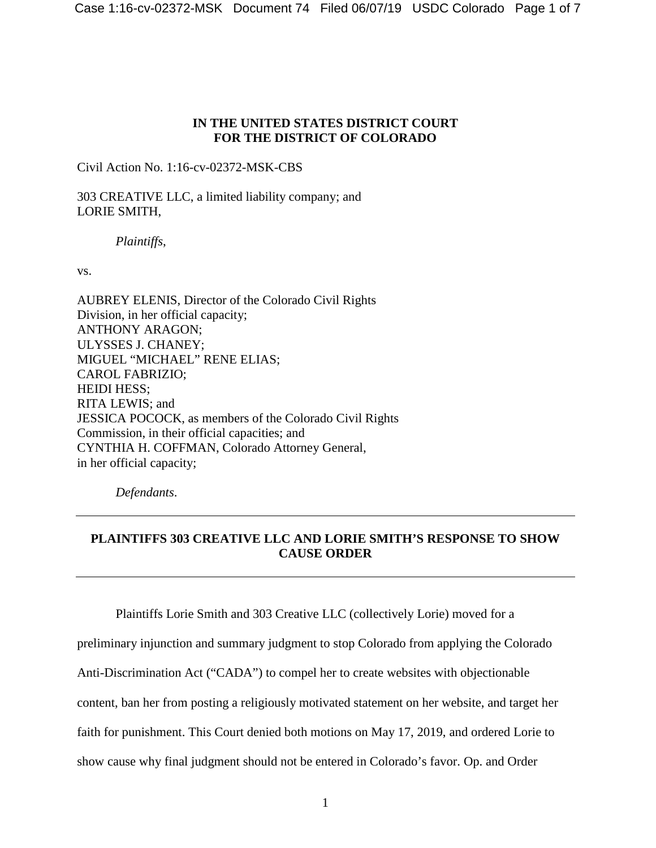## **IN THE UNITED STATES DISTRICT COURT FOR THE DISTRICT OF COLORADO**

Civil Action No. 1:16-cv-02372-MSK-CBS

303 CREATIVE LLC, a limited liability company; and LORIE SMITH,

*Plaintiffs*,

vs.

AUBREY ELENIS, Director of the Colorado Civil Rights Division, in her official capacity; ANTHONY ARAGON; ULYSSES J. CHANEY; MIGUEL "MICHAEL" RENE ELIAS; CAROL FABRIZIO; HEIDI HESS; RITA LEWIS; and JESSICA POCOCK, as members of the Colorado Civil Rights Commission, in their official capacities; and CYNTHIA H. COFFMAN, Colorado Attorney General, in her official capacity;

*Defendants*.

## **PLAINTIFFS 303 CREATIVE LLC AND LORIE SMITH'S RESPONSE TO SHOW CAUSE ORDER**

Plaintiffs Lorie Smith and 303 Creative LLC (collectively Lorie) moved for a

preliminary injunction and summary judgment to stop Colorado from applying the Colorado

Anti-Discrimination Act ("CADA") to compel her to create websites with objectionable

content, ban her from posting a religiously motivated statement on her website, and target her

faith for punishment. This Court denied both motions on May 17, 2019, and ordered Lorie to

show cause why final judgment should not be entered in Colorado's favor. Op. and Order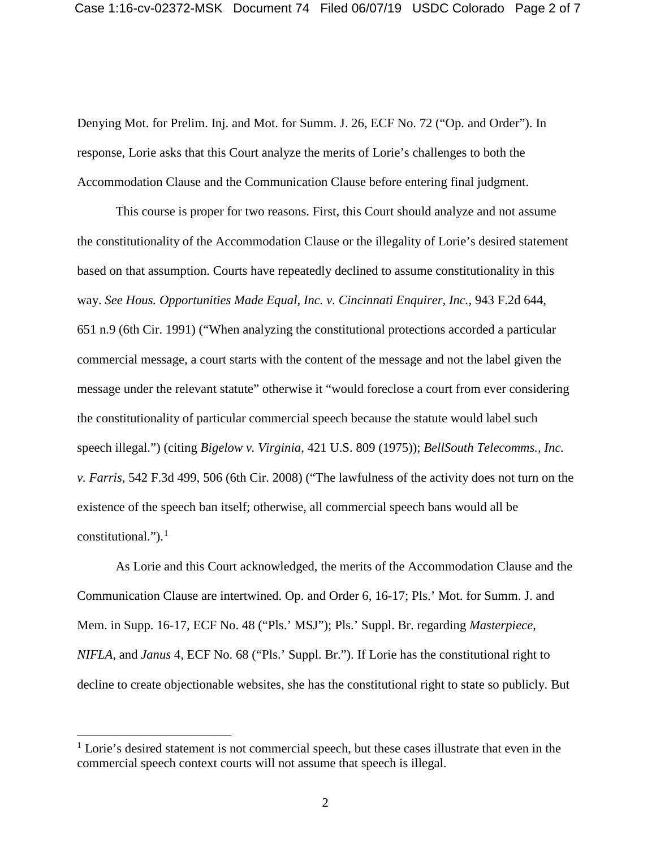Denying Mot. for Prelim. Inj. and Mot. for Summ. J. 26, ECF No. 72 ("Op. and Order"). In response, Lorie asks that this Court analyze the merits of Lorie's challenges to both the Accommodation Clause and the Communication Clause before entering final judgment.

This course is proper for two reasons. First, this Court should analyze and not assume the constitutionality of the Accommodation Clause or the illegality of Lorie's desired statement based on that assumption. Courts have repeatedly declined to assume constitutionality in this way. *See Hous. Opportunities Made Equal, Inc. v. Cincinnati Enquirer, Inc.*, 943 F.2d 644, 651 n.9 (6th Cir. 1991) ("When analyzing the constitutional protections accorded a particular commercial message, a court starts with the content of the message and not the label given the message under the relevant statute" otherwise it "would foreclose a court from ever considering the constitutionality of particular commercial speech because the statute would label such speech illegal.") (citing *Bigelow v. Virginia*, 421 U.S. 809 (1975)); *BellSouth Telecomms., Inc. v. Farris*, 542 F.3d 499, 506 (6th Cir. 2008) ("The lawfulness of the activity does not turn on the existence of the speech ban itself; otherwise, all commercial speech bans would all be constitutional."). $<sup>1</sup>$ </sup>

As Lorie and this Court acknowledged, the merits of the Accommodation Clause and the Communication Clause are intertwined. Op. and Order 6, 16-17; Pls.' Mot. for Summ. J. and Mem. in Supp. 16-17, ECF No. 48 ("Pls.' MSJ"); Pls.' Suppl. Br. regarding *Masterpiece*, *NIFLA*, and *Janus* 4, ECF No. 68 ("Pls.' Suppl. Br."). If Lorie has the constitutional right to decline to create objectionable websites, she has the constitutional right to state so publicly. But

<sup>&</sup>lt;sup>1</sup> Lorie's desired statement is not commercial speech, but these cases illustrate that even in the commercial speech context courts will not assume that speech is illegal.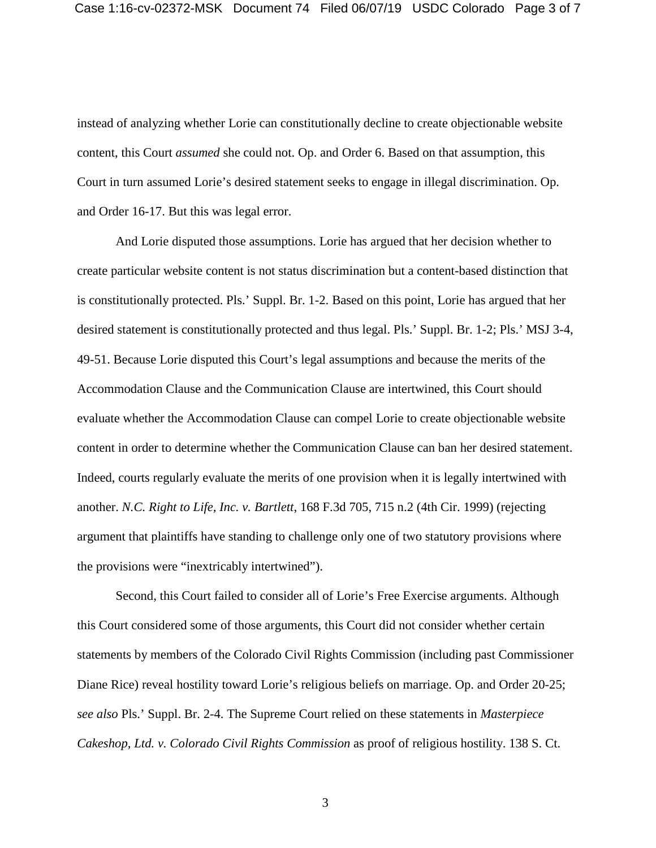instead of analyzing whether Lorie can constitutionally decline to create objectionable website content, this Court *assumed* she could not. Op. and Order 6. Based on that assumption, this Court in turn assumed Lorie's desired statement seeks to engage in illegal discrimination. Op. and Order 16-17. But this was legal error.

And Lorie disputed those assumptions. Lorie has argued that her decision whether to create particular website content is not status discrimination but a content-based distinction that is constitutionally protected. Pls.' Suppl. Br. 1-2. Based on this point, Lorie has argued that her desired statement is constitutionally protected and thus legal. Pls.' Suppl. Br. 1-2; Pls.' MSJ 3-4, 49-51. Because Lorie disputed this Court's legal assumptions and because the merits of the Accommodation Clause and the Communication Clause are intertwined, this Court should evaluate whether the Accommodation Clause can compel Lorie to create objectionable website content in order to determine whether the Communication Clause can ban her desired statement. Indeed, courts regularly evaluate the merits of one provision when it is legally intertwined with another. *N.C. Right to Life, Inc. v. Bartlett*, 168 F.3d 705, 715 n.2 (4th Cir. 1999) (rejecting argument that plaintiffs have standing to challenge only one of two statutory provisions where the provisions were "inextricably intertwined").

Second, this Court failed to consider all of Lorie's Free Exercise arguments. Although this Court considered some of those arguments, this Court did not consider whether certain statements by members of the Colorado Civil Rights Commission (including past Commissioner Diane Rice) reveal hostility toward Lorie's religious beliefs on marriage. Op. and Order 20-25; *see also* Pls.' Suppl. Br. 2-4. The Supreme Court relied on these statements in *Masterpiece Cakeshop, Ltd. v. Colorado Civil Rights Commission* as proof of religious hostility. 138 S. Ct.

3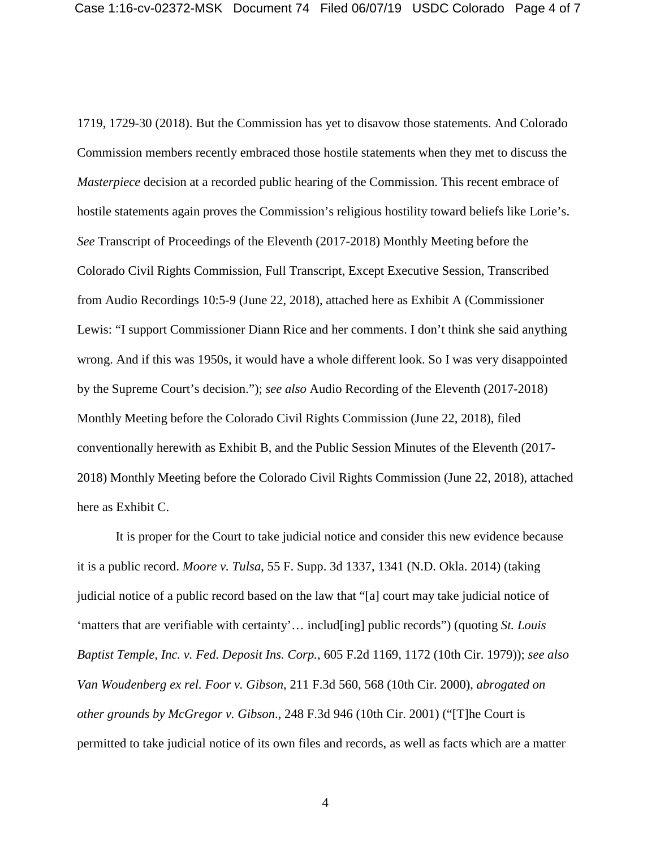1719, 1729-30 (2018). But the Commission has yet to disavow those statements. And Colorado Commission members recently embraced those hostile statements when they met to discuss the *Masterpiece* decision at a recorded public hearing of the Commission. This recent embrace of hostile statements again proves the Commission's religious hostility toward beliefs like Lorie's. *See* Transcript of Proceedings of the Eleventh (2017-2018) Monthly Meeting before the Colorado Civil Rights Commission, Full Transcript, Except Executive Session, Transcribed from Audio Recordings 10:5-9 (June 22, 2018), attached here as Exhibit A (Commissioner Lewis: "I support Commissioner Diann Rice and her comments. I don't think she said anything wrong. And if this was 1950s, it would have a whole different look. So I was very disappointed by the Supreme Court's decision."); *see also* Audio Recording of the Eleventh (2017-2018) Monthly Meeting before the Colorado Civil Rights Commission (June 22, 2018), filed conventionally herewith as Exhibit B, and the Public Session Minutes of the Eleventh (2017- 2018) Monthly Meeting before the Colorado Civil Rights Commission (June 22, 2018), attached here as Exhibit C.

It is proper for the Court to take judicial notice and consider this new evidence because it is a public record. *Moore v. Tulsa*, 55 F. Supp. 3d 1337, 1341 (N.D. Okla. 2014) (taking judicial notice of a public record based on the law that "[a] court may take judicial notice of 'matters that are verifiable with certainty'… includ[ing] public records") (quoting *St. Louis Baptist Temple, Inc. v. Fed. Deposit Ins. Corp.*, 605 F.2d 1169, 1172 (10th Cir. 1979)); *see also Van Woudenberg ex rel. Foor v. Gibson*, 211 F.3d 560, 568 (10th Cir. 2000), *abrogated on other grounds by McGregor v. Gibson*., 248 F.3d 946 (10th Cir. 2001) ("[T]he Court is permitted to take judicial notice of its own files and records, as well as facts which are a matter

4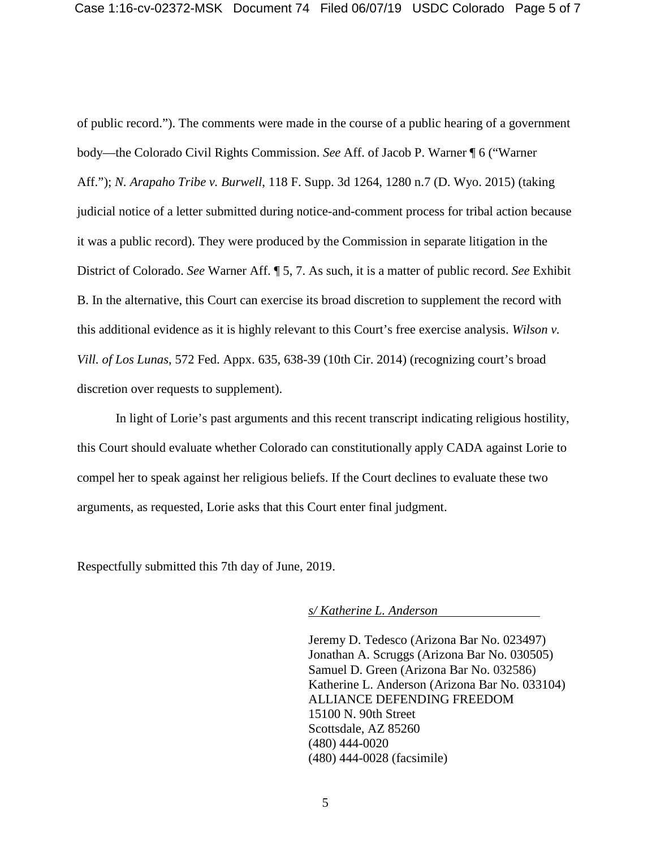of public record."). The comments were made in the course of a public hearing of a government body—the Colorado Civil Rights Commission. *See* Aff. of Jacob P. Warner ¶ 6 ("Warner Aff."); *N. Arapaho Tribe v. Burwell*, 118 F. Supp. 3d 1264, 1280 n.7 (D. Wyo. 2015) (taking judicial notice of a letter submitted during notice-and-comment process for tribal action because it was a public record). They were produced by the Commission in separate litigation in the District of Colorado. *See* Warner Aff. ¶ 5, 7. As such, it is a matter of public record. *See* Exhibit B. In the alternative, this Court can exercise its broad discretion to supplement the record with this additional evidence as it is highly relevant to this Court's free exercise analysis. *Wilson v. Vill. of Los Lunas*, 572 Fed. Appx. 635, 638-39 (10th Cir. 2014) (recognizing court's broad discretion over requests to supplement).

In light of Lorie's past arguments and this recent transcript indicating religious hostility, this Court should evaluate whether Colorado can constitutionally apply CADA against Lorie to compel her to speak against her religious beliefs. If the Court declines to evaluate these two arguments, as requested, Lorie asks that this Court enter final judgment.

Respectfully submitted this 7th day of June, 2019.

*s/ Katherine L. Anderson*

Jeremy D. Tedesco (Arizona Bar No. 023497) Jonathan A. Scruggs (Arizona Bar No. 030505) Samuel D. Green (Arizona Bar No. 032586) Katherine L. Anderson (Arizona Bar No. 033104) ALLIANCE DEFENDING FREEDOM 15100 N. 90th Street Scottsdale, AZ 85260 (480) 444-0020 (480) 444-0028 (facsimile)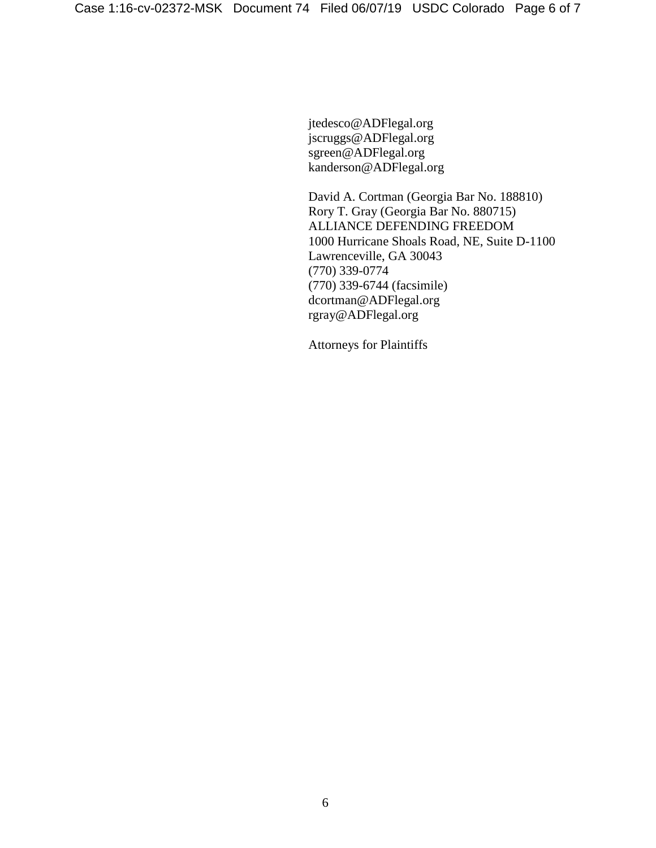jtedesco@ADFlegal.org jscruggs@ADFlegal.org sgreen@ADFlegal.org kanderson@ADFlegal.org

David A. Cortman (Georgia Bar No. 188810) Rory T. Gray (Georgia Bar No. 880715) ALLIANCE DEFENDING FREEDOM 1000 Hurricane Shoals Road, NE, Suite D-1100 Lawrenceville, GA 30043 (770) 339-0774 (770) 339-6744 (facsimile) dcortman@ADFlegal.org rgray@ADFlegal.org

Attorneys for Plaintiffs